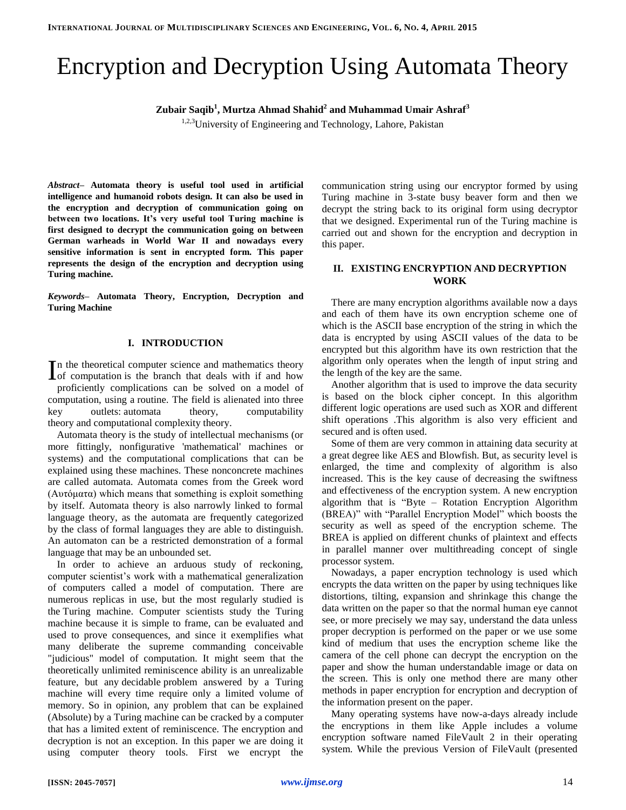# Encryption and Decryption Using Automata Theory

**Zubair Saqib<sup>1</sup> , Murtza Ahmad Shahid<sup>2</sup> and Muhammad Umair Ashraf<sup>3</sup>**

<sup>1,2,3</sup>University of Engineering and Technology, Lahore, Pakistan

*Abstract–* **Automata theory is useful tool used in artificial intelligence and humanoid robots design. It can also be used in the encryption and decryption of communication going on between two locations. It's very useful tool Turing machine is first designed to decrypt the communication going on between German warheads in World War II and nowadays every sensitive information is sent in encrypted form. This paper represents the design of the encryption and decryption using Turing machine.**

*Keywords–* **Automata Theory, Encryption, Decryption and Turing Machine**

# **I. INTRODUCTION**

In the theoretical computer science and mathematics theory In the theoretical computer science and mathematics theory<br>
Iof computation is the branch that deals with if and how proficiently complications can be solved on a model of computation, using a routine. The field is alienated into three key outlets: automata theory, computability theory and computational complexity theory.

Automata theory is the study of intellectual mechanisms (or more fittingly, nonfigurative 'mathematical' machines or systems) and the computational complications that can be explained using these machines. These nonconcrete machines are called automata. Automata comes from the Greek word (Αυτόματα) which means that something is exploit something by itself. Automata theory is also narrowly linked to formal language theory, as the automata are frequently categorized by the class of formal languages they are able to distinguish. An automaton can be a restricted demonstration of a formal language that may be an unbounded set.

In order to achieve an arduous study of reckoning, computer scientist's work with a mathematical generalization of computers called a model of computation. There are numerous replicas in use, but the most regularly studied is the Turing machine. Computer scientists study the Turing machine because it is simple to frame, can be evaluated and used to prove consequences, and since it exemplifies what many deliberate the supreme commanding conceivable "judicious" model of computation. It might seem that the theoretically unlimited reminiscence ability is an unrealizable feature, but any decidable problem answered by a Turing machine will every time require only a limited volume of memory. So in opinion, any problem that can be explained (Absolute) by a Turing machine can be cracked by a computer that has a limited extent of reminiscence. The encryption and decryption is not an exception. In this paper we are doing it using computer theory tools. First we encrypt the

communication string using our encryptor formed by using Turing machine in 3-state busy beaver form and then we decrypt the string back to its original form using decryptor that we designed. Experimental run of the Turing machine is carried out and shown for the encryption and decryption in this paper.

# **II. EXISTING ENCRYPTION AND DECRYPTION WORK**

There are many encryption algorithms available now a days and each of them have its own encryption scheme one of which is the ASCII base encryption of the string in which the data is encrypted by using ASCII values of the data to be encrypted but this algorithm have its own restriction that the algorithm only operates when the length of input string and the length of the key are the same.

Another algorithm that is used to improve the data security is based on the block cipher concept. In this algorithm different logic operations are used such as XOR and different shift operations .This algorithm is also very efficient and secured and is often used.

Some of them are very common in attaining data security at a great degree like AES and Blowfish. But, as security level is enlarged, the time and complexity of algorithm is also increased. This is the key cause of decreasing the swiftness and effectiveness of the encryption system. A new encryption algorithm that is "Byte – Rotation Encryption Algorithm (BREA)" with "Parallel Encryption Model" which boosts the security as well as speed of the encryption scheme. The BREA is applied on different chunks of plaintext and effects in parallel manner over multithreading concept of single processor system.

Nowadays, a paper encryption technology is used which encrypts the data written on the paper by using techniques like distortions, tilting, expansion and shrinkage this change the data written on the paper so that the normal human eye cannot see, or more precisely we may say, understand the data unless proper decryption is performed on the paper or we use some kind of medium that uses the encryption scheme like the camera of the cell phone can decrypt the encryption on the paper and show the human understandable image or data on the screen. This is only one method there are many other methods in paper encryption for encryption and decryption of the information present on the paper.

Many operating systems have now-a-days already include the encryptions in them like Apple includes a volume encryption software named FileVault 2 in their operating system. While the previous Version of FileVault (presented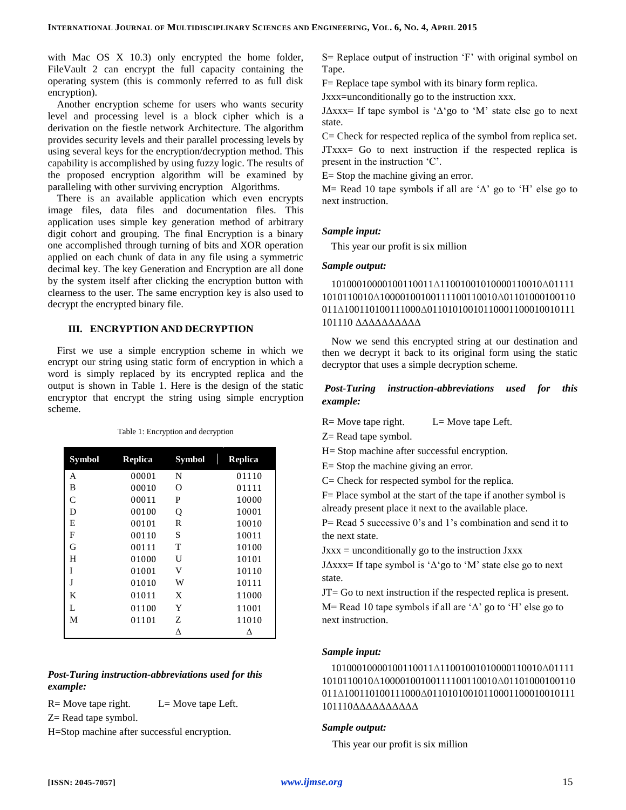with Mac OS X 10.3) only encrypted the home folder, FileVault 2 can encrypt the full capacity containing the operating system (this is commonly referred to as full disk encryption).

Another encryption scheme for users who wants security level and processing level is a block cipher which is a derivation on the fiestle network Architecture. The algorithm provides security levels and their parallel processing levels by using several keys for the encryption/decryption method. This capability is accomplished by using fuzzy logic. The results of the proposed encryption algorithm will be examined by paralleling with other surviving encryption Algorithms.

There is an available application which even encrypts image files, data files and documentation files. This application uses simple key generation method of arbitrary digit cohort and grouping. The final Encryption is a binary one accomplished through turning of bits and XOR operation applied on each chunk of data in any file using a symmetric decimal key. The key Generation and Encryption are all done by the system itself after clicking the encryption button with clearness to the user. The same encryption key is also used to decrypt the encrypted binary file.

# **III. ENCRYPTION AND DECRYPTION**

First we use a simple encryption scheme in which we encrypt our string using static form of encryption in which a word is simply replaced by its encrypted replica and the output is shown in Table 1. Here is the design of the static encryptor that encrypt the string using simple encryption scheme.

| <b>Symbol</b> | <b>Replica</b> | <b>Symbol</b> | <b>Replica</b> |
|---------------|----------------|---------------|----------------|
| A             | 00001          | N             | 01110          |
| B             | 00010          | Ω             | 01111          |
| $\mathcal{C}$ | 00011          | P             | 10000          |
| D             | 00100          | Q             | 10001          |
| E             | 00101          | R             | 10010          |
| F             | 00110          | S             | 10011          |
| G             | 00111          | T             | 10100          |
| H             | 01000          | U             | 10101          |
| I             | 01001          | V             | 10110          |
| J             | 01010          | W             | 10111          |
| K             | 01011          | X             | 11000          |
| L             | 01100          | Y             | 11001          |
| M             | 01101          | Z             | 11010          |
|               |                | Δ             | л              |

Table 1: Encryption and decryption

# *Post-Turing instruction-abbreviations used for this example:*

 $R=$  Move tape right.  $L=$  Move tape Left.

Z= Read tape symbol.

H=Stop machine after successful encryption.

S= Replace output of instruction 'F' with original symbol on Tape.

F= Replace tape symbol with its binary form replica.

Jxxx=unconditionally go to the instruction xxx.

J $\Delta$ xxx= If tape symbol is ' $\Delta$ 'go to 'M' state else go to next state.

C= Check for respected replica of the symbol from replica set. JTxxx= Go to next instruction if the respected replica is present in the instruction 'C'.

E= Stop the machine giving an error.

M= Read 10 tape symbols if all are ' $\Delta$ ' go to 'H' else go to next instruction.

#### *Sample input:*

This year our profit is six million

# *Sample output:*

# 10100010000100110011Δ11001001010000110010Δ01111 1010110010Δ10000100100111100110010Δ01101000100110 011Δ100110100111000Δ01101010010110001100010010111 101110 ΔΔΔΔΔΔΔΔΔΔ

Now we send this encrypted string at our destination and then we decrypt it back to its original form using the static decryptor that uses a simple decryption scheme.

# *Post-Turing instruction-abbreviations used for this example:*

 $R=$  Move tape right.  $L=$  Move tape Left.

Z= Read tape symbol.

H= Stop machine after successful encryption.

E= Stop the machine giving an error.

C= Check for respected symbol for the replica.

F= Place symbol at the start of the tape if another symbol is already present place it next to the available place.

P= Read 5 successive 0's and 1's combination and send it to the next state.

 $Jxxx =$  unconditionally go to the instruction  $Jxxx$ 

J $\Delta$ xxx= If tape symbol is ' $\Delta$ 'go to 'M' state else go to next state.

JT= Go to next instruction if the respected replica is present. M= Read 10 tape symbols if all are ' $\Delta$ ' go to 'H' else go to next instruction.

# *Sample input:*

10100010000100110011Δ11001001010000110010Δ01111 1010110010Δ10000100100111100110010Δ01101000100110 011Δ100110100111000Δ01101010010110001100010010111 101110ΔΔΔΔΔΔΔΔΔΔ

# *Sample output:*

This year our profit is six million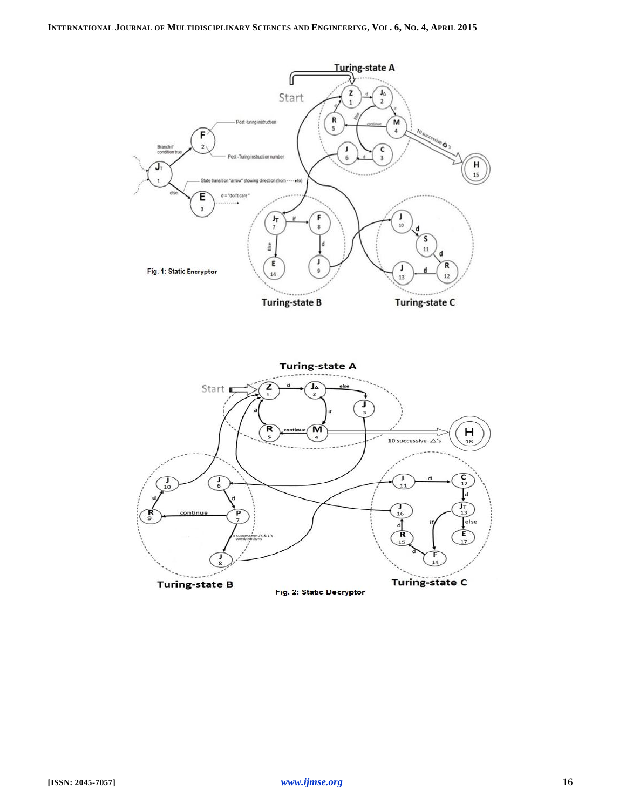

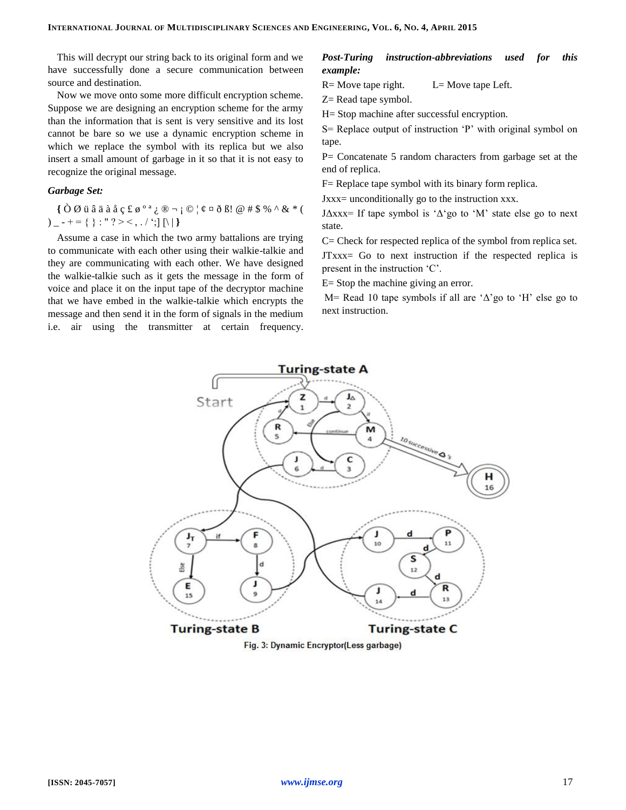This will decrypt our string back to its original form and we have successfully done a secure communication between source and destination.

Now we move onto some more difficult encryption scheme. Suppose we are designing an encryption scheme for the army than the information that is sent is very sensitive and its lost cannot be bare so we use a dynamic encryption scheme in which we replace the symbol with its replica but we also insert a small amount of garbage in it so that it is not easy to recognize the original message.

### *Garbage Set:*

**{** Ò Ø ü â ä à å ç £ ø º ª ¿ ® ¬ ¡ © ¦ ¢ ¤ ð ß! @ # \$ % ^ & \* (  $)$  \_ - + = { } : " ? > < , . / ';]  $[ \n\t\t\t\t\t\t\t\t\setminus \mathbb{R}$ 

Assume a case in which the two army battalions are trying to communicate with each other using their walkie-talkie and they are communicating with each other. We have designed the walkie-talkie such as it gets the message in the form of voice and place it on the input tape of the decryptor machine that we have embed in the walkie-talkie which encrypts the message and then send it in the form of signals in the medium i.e. air using the transmitter at certain frequency.

# *Post-Turing instruction-abbreviations used for this example:*

 $R=$  Move tape right.  $L=$  Move tape Left.

Z= Read tape symbol.

H= Stop machine after successful encryption.

S= Replace output of instruction 'P' with original symbol on tape.

P= Concatenate 5 random characters from garbage set at the end of replica.

F= Replace tape symbol with its binary form replica.

Jxxx= unconditionally go to the instruction xxx.

JΔxxx= If tape symbol is 'Δ'go to 'M' state else go to next state.

C= Check for respected replica of the symbol from replica set.

JTxxx= Go to next instruction if the respected replica is present in the instruction 'C'.

E= Stop the machine giving an error.

M= Read 10 tape symbols if all are 'Δ'go to 'H' else go to next instruction.



Fig. 3: Dynamic Encryptor(Less garbage)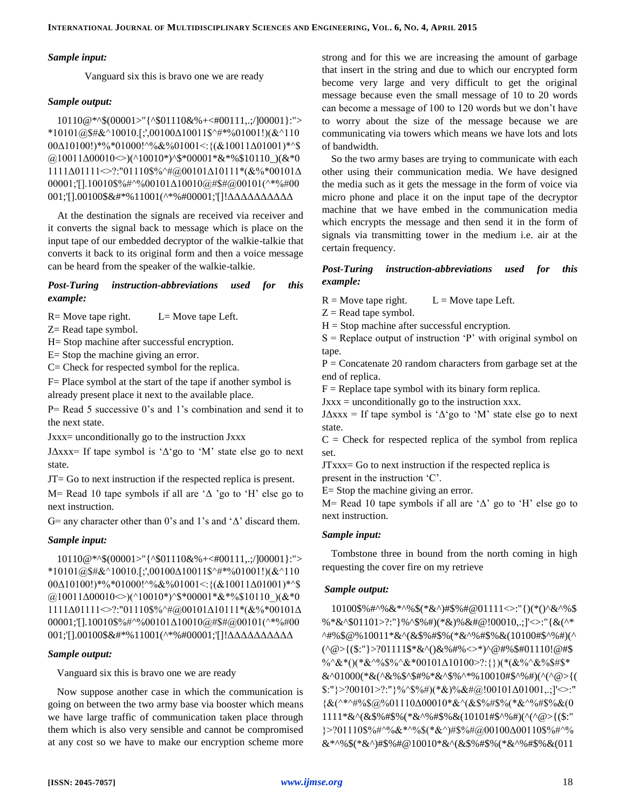#### *Sample input:*

Vanguard six this is bravo one we are ready

#### *Sample output:*

10110@\*^\$(00001>"{^\$01110&%+<#00111,.;/]00001}:"> \*10101@\$#&^10010.[;',00100 $\triangle$ 10011\$^#\*%01001!)(&^110 00Δ10100!)\*%\*01000!^%&%01001<:{(&10011Δ01001)\*^\$  $(a)$ 10011 $\Delta$ 00010 $\gg$ )(^10010\*)^\$\*00001\*&\*%\$10110\_)(&\*0 1111Δ01111<>?:"01110\$%^#@00101Δ10111\*(&%\*00101Δ  $00001$ ;'[].10010\$%#^%00101 $\Delta$ 10010@#\$#@00101(^\*%#00 001;'[].00100\$&#\*%11001(^\*%#00001;'[]!ΔΔΔΔΔΔΔΔΔΔ

At the destination the signals are received via receiver and it converts the signal back to message which is place on the input tape of our embedded decryptor of the walkie-talkie that converts it back to its original form and then a voice message can be heard from the speaker of the walkie-talkie.

# *Post-Turing instruction-abbreviations used for this example:*

 $R=$  Move tape right.  $L=$  Move tape Left.

Z= Read tape symbol.

H= Stop machine after successful encryption.

E= Stop the machine giving an error.

C= Check for respected symbol for the replica.

F= Place symbol at the start of the tape if another symbol is already present place it next to the available place.

P= Read 5 successive 0's and 1's combination and send it to the next state.

Jxxx= unconditionally go to the instruction Jxxx

J $\Delta$ xxx= If tape symbol is ' $\Delta$ 'go to 'M' state else go to next state.

JT= Go to next instruction if the respected replica is present.

M= Read 10 tape symbols if all are  $\Delta$  'go to 'H' else go to next instruction.

G= any character other than 0's and 1's and  $\Delta$ ' discard them.

#### *Sample input:*

10110@\*^\$(00001>"{^\$01110&%+<#00111,.;/]00001}:">  $*10101@$$ # $&^{\wedge}10010$ .[;',00100 $\triangle$ 10011\$^#\*%01001!)( $&^{\wedge}110$  $00\Delta10100!)$ \*%\*01000!^%&%01001<: $\{(\&10011\Delta01001)$ \*^\$  $(a)$ 10011 $\Delta$ 00010  $\gg$ )(^10010\*)^\$\*00001\*&\*%\$10110\_)(&\*0  $1111\Delta01111\gg$ ?:"01110\$%^#@00101 $\Delta10111*(&\%\%*00101\Delta$  $00001$ ;'[].10010\$%#^%00101 $\Delta$ 10010@#\$#@00101(^\*%#00 001;'[].00100\$&#\*%11001(^\*%#00001;'[]!ΔΔΔΔΔΔΔΔΔΔ

#### *Sample output:*

Vanguard six this is bravo one we are ready

Now suppose another case in which the communication is going on between the two army base via booster which means we have large traffic of communication taken place through them which is also very sensible and cannot be compromised at any cost so we have to make our encryption scheme more strong and for this we are increasing the amount of garbage that insert in the string and due to which our encrypted form become very large and very difficult to get the original message because even the small message of 10 to 20 words can become a message of 100 to 120 words but we don't have to worry about the size of the message because we are communicating via towers which means we have lots and lots of bandwidth.

So the two army bases are trying to communicate with each other using their communication media. We have designed the media such as it gets the message in the form of voice via micro phone and place it on the input tape of the decryptor machine that we have embed in the communication media which encrypts the message and then send it in the form of signals via transmitting tower in the medium i.e. air at the certain frequency.

# *Post-Turing instruction-abbreviations used for this example:*

 $R =$  Move tape right.  $L =$  Move tape Left.

 $Z =$ Read tape symbol.

 $H = Stop$  machine after successful encryption.

 $S =$  Replace output of instruction 'P' with original symbol on tape.

 $P =$  Concatenate 20 random characters from garbage set at the end of replica.

 $F =$ Replace tape symbol with its binary form replica.

 $Jxxx =$  unconditionally go to the instruction xxx.

J $\Delta$ xxx = If tape symbol is ' $\Delta$ 'go to 'M' state else go to next state.

 $C =$  Check for respected replica of the symbol from replica set.

JTxxx= Go to next instruction if the respected replica is present in the instruction 'C'.

E= Stop the machine giving an error.

M= Read 10 tape symbols if all are ' $\Delta$ ' go to 'H' else go to next instruction.

# *Sample input:*

Tombstone three in bound from the north coming in high requesting the cover fire on my retrieve

# *Sample output:*

10100\$%#^%&\*^%\$(\*&^)#\$%#@01111<>:"{)(\*()^&^%\$ %\*&^\$01101>?:"}%^\$%#)(\*&)%&#@!00010,.;]'<>:"{&(^\* ^#%\$@%10011\*&^(&\$%#\$%(\*&^%#\$%&(10100#\$^%#)(^ (^@>{(\$:"}>?01111\$\*&^()&%#%<>\*)^@#%\$#01110!@#\$  $\%^{\alpha}\&^*()(*\&^{\alpha}\&^{\beta}\&^{\alpha}\&^{\gamma}\&^{\gamma}\&^{\gamma}\&0101\&10100^{\gamma}$ :{})(\*(&%^&%\$#\$\* &^01000(\*&(^&%\$^\$#%\*&^\$%^\*%10010#\$^%#)(^(^@>{(  $\{\$:\"\} > ?00101 > ?:\"\}$ %^\$%#)(\*&)%&#@!00101 $\Delta$ 01001,.;]'<>:"  ${\&}^{\wedge}$  {&(^\*^#%\$@%01110 $\Delta$ 00010\*&^(&\$%#\$%(\*&^%#\$%&(0 1111\*&^(&\$%#\$%(\*&^%#\$%&(10101#\$^%#)(^(^@>{(\$:" }>?01110\$%#^%&\*^%\$(\*&^)#\$%#@00100Δ00110\$%#^% &\*^%\$(\*&^)#\$%#@10010\*&^(&\$%#\$%(\*&^%#\$%&(011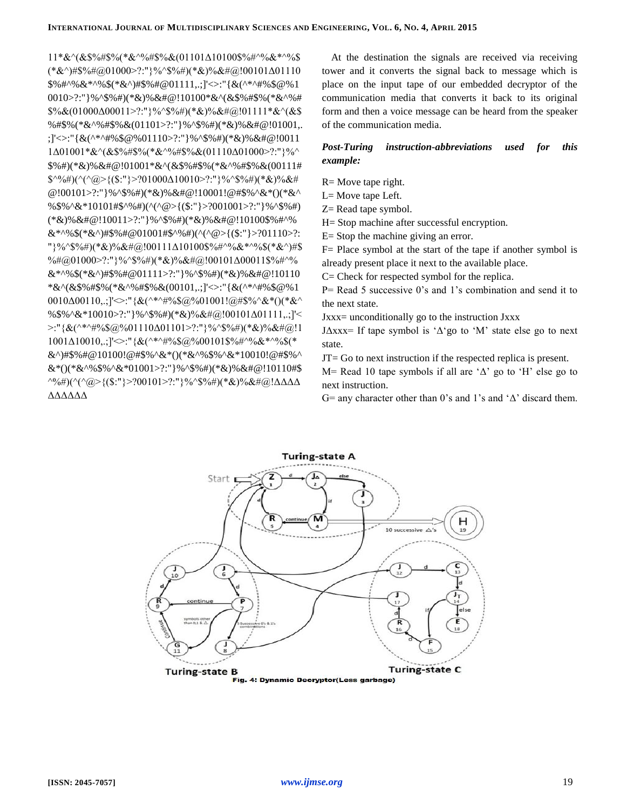$(*&\wedge)\#\$\%\#@01000>$ ?:"}%^\$%#)(\*&)%&#@!00101 $\Delta$ 01110  $$\%$ #^%&\*^%\$(\*&^)#\$%#@01111,.;]'<>:"{&(^\*^#%\$@%1 0010>?:"}%^\$%#)(\*&)%&#@!10100\*&^(&\$%#\$%(\*&^%#  $\frac{\$%}{\&}(01000\Delta00011>?$ :"}%\\$%#)(\*&)%&#@!01111\*&\(&\$ %#\$%(\*&^%#\$%&(01101>?:"}%^\$%#)(\*&)%&#@!01001,. ;]'<>:"{&(^\*^#%\$@%01110>?:"}%^\$%#)(\*&)%&#@!0011  $1\Delta01001^*&^{\wedge}(\&\$\%~\#$\%~(*&^{\wedge}\%~\#$\%~\&(01110\Delta01000^>?;")\%$ \$%#)(\*&)%&#@!01001\*&^(&\$%#\$%(\*&^%#\$%&(00111#  $\frac{\sqrt{2}}{2}$  \(\\thermal{\left(\alpha) \left(\alpha) \left(\alpha) \left(\alpha) 1000 $\Delta$ 10010>?:" \eft(\alpha) \left(\alpha) \left(\alpha) \left(\alpha) \left(\alpha) \left(\alpha) \left(\alpha) \left(\alpha) \left(\alph @!00101>?:"}%^\$%#)(\*&)%&#@!10001!@#\$%^&\*()(\*&^ %\$%^&\*10101#\$^%#)(^(^@>{(\$:"}>?001001>?:"}%^\$%#)  $&*^{0}(1110)$  :  $&*^{0}(1001450)$   $\frac{1}{2}(0.1001450)$   $\frac{1}{2}(0.100110)$   $\frac{1}{2}(0.1110)$   $\frac{1}{2}(0.1110)$ "}%^\$%#)(\*&)%&#@!00111△10100\$%#^%&\*^%\$(\*&^)#\$  $\%#@01000$  >?:" }% \\$\%\$(+)(\*&)% &#@!00101 $\Delta 00011$ \$%# \%  $&*^{\wedge}\%$  (\*&^)#\$%#@01111>?:"}%^\$%#)(\*&)%&#@!10110 \*&^(&\$%#\$%(\*&^%#\$%&(00101,.;]'<>:"{&(^\*^#%\$@%1  $0010\Delta00110...$ ]' $\sim$ :"{&(^\*^#%\$@%01001!@#\$%^&\*()(\*&^ %\$%^&\*10010>?:"}%^\$%#)(\*&)%&#@!00101 $\Delta$ 01111,.;]'<  $\geq$ :"{&(^\*^#%\$@%01110 $\triangle$ 01101>?:"}%^\$%#)(\*&)%&#@!1  $1001\Delta10010,$ ; ]' $\le$ :"{&(^\*^#%\$@%00101\$%#^%&\*^%\$(\* &^)#\$%#@10100!@#\$%^&\*()(\*&^%\$%^&\*10010!@#\$%^  $&*(((*&*%\$%^*&*01001&*){\cdots})*@^*&*@`%&*@!10110#\$$  $\sqrt{9}$  ( $\sqrt{$  ( $\sqrt{a}$  > {(\$:"} > ?00101 > ?:"} %  $\sqrt{$  \$%#)(\*&)%&#@! $\Delta\Delta\Delta$ ΔΔΔΔΔΛ

At the destination the signals are received via receiving tower and it converts the signal back to message which is place on the input tape of our embedded decryptor of the communication media that converts it back to its original form and then a voice message can be heard from the speaker of the communication media.

#### **Post-Turing** instruction-abbreviations this used for example:

 $R = Move$  tape right.

L= Move tape Left.

 $Z =$ Read tape symbol.

H = Stop machine after successful encryption.

 $E =$  Stop the machine giving an error.

 $F =$  Place symbol at the start of the tape if another symbol is already present place it next to the available place.

 $C =$  Check for respected symbol for the replica.

 $P = Read 5$  successive 0's and 1's combination and send it to the next state.

 $Jxxx =$  unconditionally go to the instruction  $Jxxx$ 

J $\Delta$ xxx= If tape symbol is ' $\Delta$ 'go to 'M' state else go to next state.

 $JT = Go$  to next instruction if the respected replica is present.

M= Read 10 tape symbols if all are  $\Delta$ ' go to 'H' else go to next instruction.

G= any character other than 0's and 1's and  $\Delta$ ' discard them.



Fig. 4: Dynamic Decryptor(Less garbage)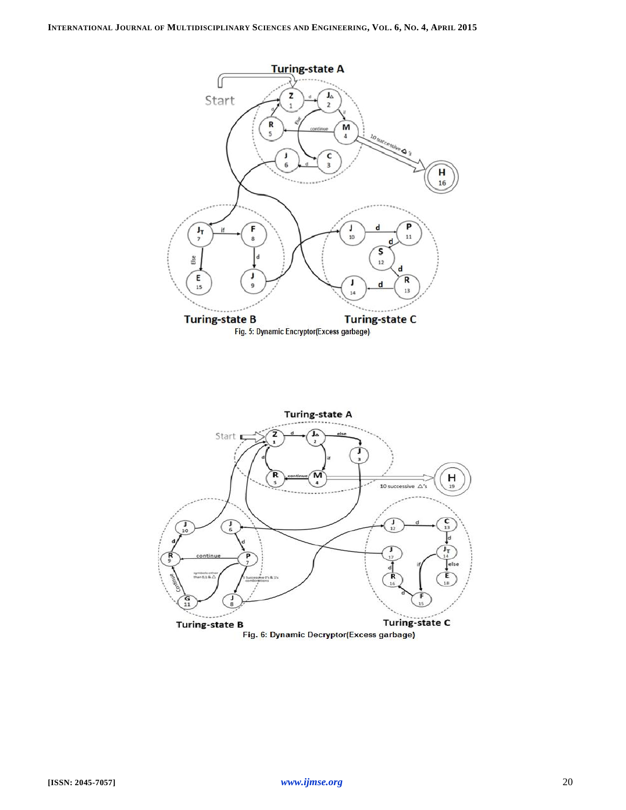